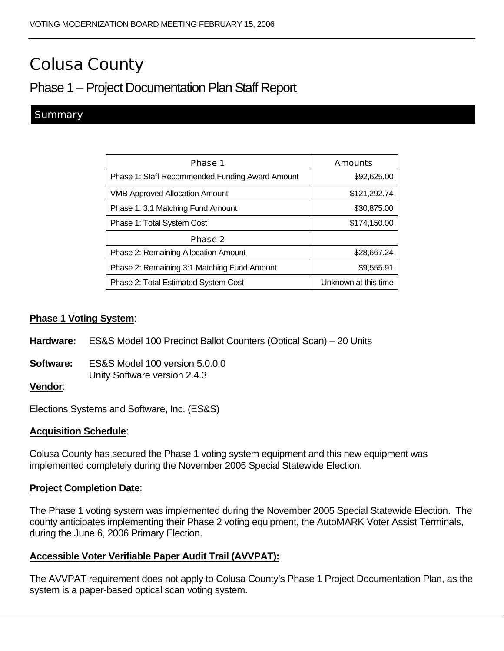# Colusa County

# Phase 1 – Project Documentation Plan Staff Report

# **Summary**

| Phase 1                                         | <b>Amounts</b>       |  |
|-------------------------------------------------|----------------------|--|
| Phase 1: Staff Recommended Funding Award Amount | \$92,625.00          |  |
| <b>VMB Approved Allocation Amount</b>           | \$121,292.74         |  |
| Phase 1: 3:1 Matching Fund Amount               | \$30,875.00          |  |
| Phase 1: Total System Cost                      | \$174,150.00         |  |
| Phase 2                                         |                      |  |
| Phase 2: Remaining Allocation Amount            | \$28,667.24          |  |
| Phase 2: Remaining 3:1 Matching Fund Amount     | \$9,555.91           |  |
| Phase 2: Total Estimated System Cost            | Unknown at this time |  |

#### **Phase 1 Voting System**:

- **Hardware:** ES&S Model 100 Precinct Ballot Counters (Optical Scan) 20 Units
- **Software:** ES&S Model 100 version 5.0.0.0 Unity Software version 2.4.3

#### **Vendor**:

Elections Systems and Software, Inc. (ES&S)

#### **Acquisition Schedule**:

Colusa County has secured the Phase 1 voting system equipment and this new equipment was implemented completely during the November 2005 Special Statewide Election.

#### **Project Completion Date**:

The Phase 1 voting system was implemented during the November 2005 Special Statewide Election. The county anticipates implementing their Phase 2 voting equipment, the AutoMARK Voter Assist Terminals, during the June 6, 2006 Primary Election.

#### **Accessible Voter Verifiable Paper Audit Trail (AVVPAT):**

The AVVPAT requirement does not apply to Colusa County's Phase 1 Project Documentation Plan, as the system is a paper-based optical scan voting system.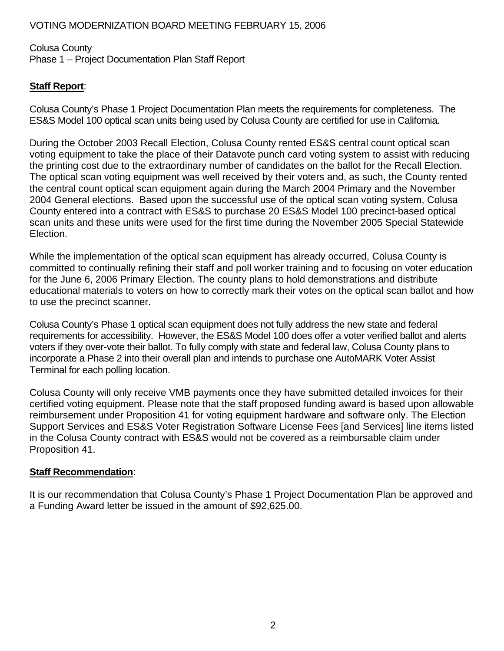### VOTING MODERNIZATION BOARD MEETING FEBRUARY 15, 2006

# Colusa County Phase 1 – Project Documentation Plan Staff Report

# **Staff Report**:

Colusa County's Phase 1 Project Documentation Plan meets the requirements for completeness. The ES&S Model 100 optical scan units being used by Colusa County are certified for use in California.

During the October 2003 Recall Election, Colusa County rented ES&S central count optical scan voting equipment to take the place of their Datavote punch card voting system to assist with reducing the printing cost due to the extraordinary number of candidates on the ballot for the Recall Election. The optical scan voting equipment was well received by their voters and, as such, the County rented the central count optical scan equipment again during the March 2004 Primary and the November 2004 General elections. Based upon the successful use of the optical scan voting system, Colusa County entered into a contract with ES&S to purchase 20 ES&S Model 100 precinct-based optical scan units and these units were used for the first time during the November 2005 Special Statewide Election.

While the implementation of the optical scan equipment has already occurred, Colusa County is committed to continually refining their staff and poll worker training and to focusing on voter education for the June 6, 2006 Primary Election. The county plans to hold demonstrations and distribute educational materials to voters on how to correctly mark their votes on the optical scan ballot and how to use the precinct scanner.

Colusa County's Phase 1 optical scan equipment does not fully address the new state and federal requirements for accessibility. However, the ES&S Model 100 does offer a voter verified ballot and alerts voters if they over-vote their ballot. To fully comply with state and federal law, Colusa County plans to incorporate a Phase 2 into their overall plan and intends to purchase one AutoMARK Voter Assist Terminal for each polling location.

Colusa County will only receive VMB payments once they have submitted detailed invoices for their certified voting equipment. Please note that the staff proposed funding award is based upon allowable reimbursement under Proposition 41 for voting equipment hardware and software only. The Election Support Services and ES&S Voter Registration Software License Fees [and Services] line items listed in the Colusa County contract with ES&S would not be covered as a reimbursable claim under Proposition 41.

#### **Staff Recommendation**:

It is our recommendation that Colusa County's Phase 1 Project Documentation Plan be approved and a Funding Award letter be issued in the amount of \$92,625.00.